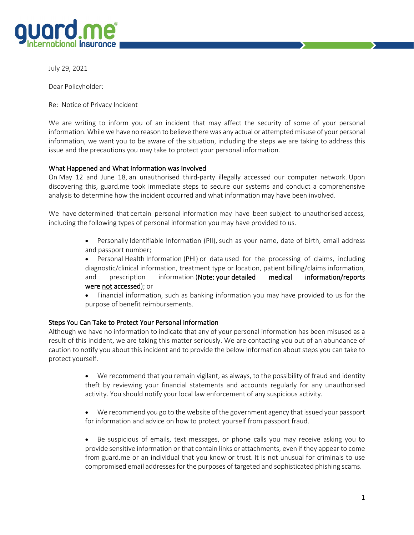

July 29, 2021

Dear Policyholder:

Re: Notice of Privacy Incident

We are writing to inform you of an incident that may affect the security of some of your personal information. While we have no reason to believe there was any actual or attempted misuse of your personal information, we want you to be aware of the situation, including the steps we are taking to address this issue and the precautions you may take to protect your personal information.

## What Happened and What Information was Involved

On May 12 and June 18, an unauthorised third-party illegally accessed our computer network. Upon discovering this, guard.me took immediate steps to secure our systems and conduct a comprehensive analysis to determine how the incident occurred and what information may have been involved.

We have determined that certain personal information may have been subject to unauthorised access, including the following types of personal information you may have provided to us.

- Personally Identifiable Information (PII), such as your name, date of birth, email address and passport number;
- Personal Health Information (PHI) or data used for the processing of claims, including diagnostic/clinical information, treatment type or location, patient billing/claims information, and prescription information (Note: your detailed medical information/reports were not accessed); or
- Financial information, such as banking information you may have provided to us for the purpose of benefit reimbursements.

## Steps You Can Take to Protect Your Personal Information

Although we have no information to indicate that any of your personal information has been misused as a result of this incident, we are taking this matter seriously. We are contacting you out of an abundance of caution to notify you about this incident and to provide the below information about steps you can take to protect yourself.

- We recommend that you remain vigilant, as always, to the possibility of fraud and identity theft by reviewing your financial statements and accounts regularly for any unauthorised activity. You should notify your local law enforcement of any suspicious activity.
- We recommend you go to the website of the government agency that issued your passport for information and advice on how to protect yourself from passport fraud.
- Be suspicious of emails, text messages, or phone calls you may receive asking you to provide sensitive information or that contain links or attachments, even if they appear to come from guard.me or an individual that you know or trust. It is not unusual for criminals to use compromised email addresses for the purposes of targeted and sophisticated phishing scams.